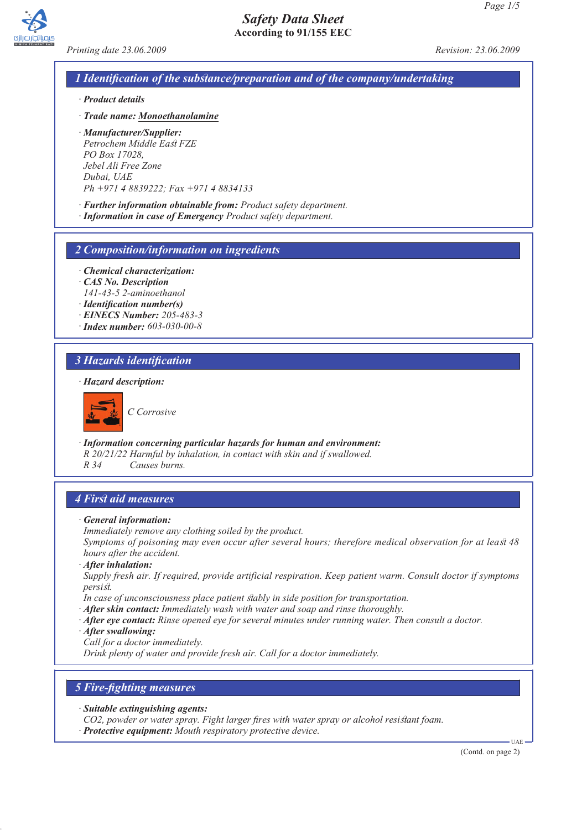

*Printing date 23.06.2009 Revision: 23.06.2009*

## *1 Identification of the substance/preparation and of the company/undertaking*

*· Product details*

*· Trade name: Monoethanolamine*

*· Manufacturer/Supplier: Petrochem Middle East FZE PO Box 17028, Jebel Ali Free Zone Dubai, UAE Ph +971 4 8839222; Fax +971 4 8834133*

*· Further information obtainable from: Product safety department.*

*· Information in case of Emergency Product safety department.*

#### *2 Composition/information on ingredients*

- *· Chemical characterization:*
- *· CAS No. Description 141-43-5 2-aminoethanol*
- *· Identification number(s)*
- *· EINECS Number: 205-483-3*
- *· Index number: 603-030-00-8*

## *3 Hazards identification*

#### *· Hazard description:*



*C Corrosive*

*· Information concerning particular hazards for human and environment:*

*R 20/21/22 Harmful by inhalation, in contact with skin and if swallowed.*

*R 34 Causes burns.*

## *4 First aid measures*

- *· General information:*
- *Immediately remove any clothing soiled by the product.*

*Symptoms of poisoning may even occur after several hours; therefore medical observation for at least 48 hours after the accident.*

*· After inhalation:*

*Supply fresh air. If required, provide artificial respiration. Keep patient warm. Consult doctor if symptoms persist.*

- *In case of unconsciousness place patient stably in side position for transportation.*
- *· After skin contact: Immediately wash with water and soap and rinse thoroughly.*
- *· After eye contact: Rinse opened eye for several minutes under running water. Then consult a doctor.*
- *· After swallowing:*
- *Call for a doctor immediately.*

*Drink plenty of water and provide fresh air. Call for a doctor immediately.*

## *5 Fire-fighting measures*

- *· Suitable extinguishing agents:*
- *CO2, powder or water spray. Fight larger fires with water spray or alcohol resistant foam.*
- *· Protective equipment: Mouth respiratory protective device.*

(Contd. on page 2)

UAE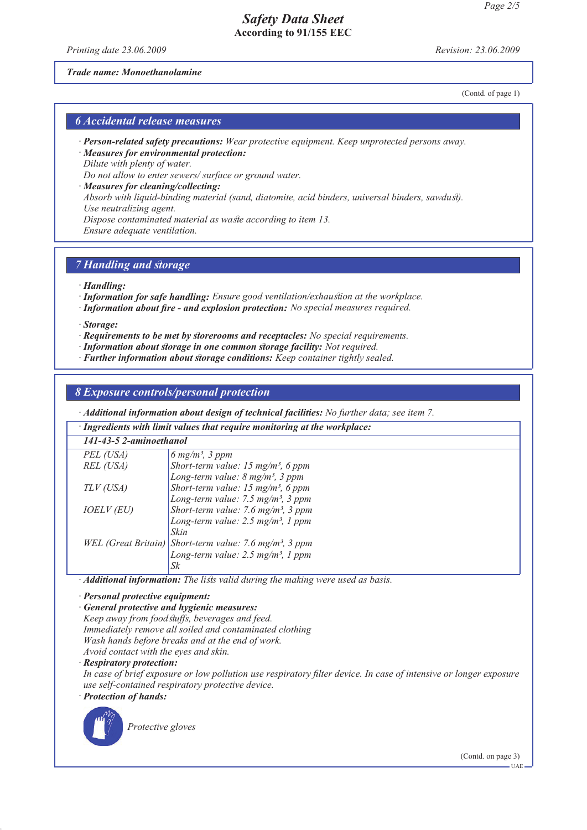*Printing date 23.06.2009 Revision: 23.06.2009*

## *Trade name: Monoethanolamine*

(Contd. of page 1)

## *6 Accidental release measures*

- *· Person-related safety precautions: Wear protective equipment. Keep unprotected persons away.*
- *· Measures for environmental protection: Dilute with plenty of water.*

*Do not allow to enter sewers/ surface or ground water.*

*· Measures for cleaning/collecting:*

*Absorb with liquid-binding material (sand, diatomite, acid binders, universal binders, sawdust). Use neutralizing agent.*

*Dispose contaminated material as waste according to item 13.*

*Ensure adequate ventilation.*

## *7 Handling and storage*

*· Handling:*

*· Information for safe handling: Ensure good ventilation/exhaustion at the workplace.*

- *· Information about fire and explosion protection: No special measures required.*
- *· Storage:*
- *· Requirements to be met by storerooms and receptacles: No special requirements.*
- *· Information about storage in one common storage facility: Not required.*
- *· Further information about storage conditions: Keep container tightly sealed.*

## *8 Exposure controls/personal protection*

*· Additional information about design of technical facilities: No further data; see item 7.*

| · Ingredients with limit values that require monitoring at the workplace: |  |
|---------------------------------------------------------------------------|--|
| 141-43-5 2-aminoethanol                                                   |  |

| PEL (USA)         | 6 mg/m <sup>3</sup> , 3 ppm                                                                                           |
|-------------------|-----------------------------------------------------------------------------------------------------------------------|
| REL (USA)         | Short-term value: 15 mg/m <sup>3</sup> , 6 ppm<br>Long-term value: 8 mg/m <sup>3</sup> , 3 ppm                        |
|                   |                                                                                                                       |
| TLV (USA)         | Short-term value: 15 mg/m <sup>3</sup> , 6 ppm                                                                        |
|                   | Long-term value: $7.5 \text{ mg/m}^3$ , $3 \text{ ppm}$                                                               |
| <i>IOELV (EU)</i> |                                                                                                                       |
|                   | Short-term value: 7.6 mg/m <sup>3</sup> , 3 ppm<br>Long-term value: 2.5 mg/m <sup>3</sup> , 1 ppm                     |
|                   | Skin                                                                                                                  |
|                   |                                                                                                                       |
|                   | WEL (Great Britain) Short-term value: 7.6 mg/m <sup>3</sup> , 3 ppm<br>Long-term value: 2.5 mg/m <sup>3</sup> , 1 ppm |
|                   |                                                                                                                       |

*· Additional information: The lists valid during the making were used as basis.*

*· Personal protective equipment:*

*· General protective and hygienic measures: Keep away from foodstuffs, beverages and feed. Immediately remove all soiled and contaminated clothing*

*Wash hands before breaks and at the end of work. Avoid contact with the eyes and skin.*

*· Respiratory protection:*

*In case of brief exposure or low pollution use respiratory filter device. In case of intensive or longer exposure use self-contained respiratory protective device.*

*· Protection of hands:*



*Protective gloves*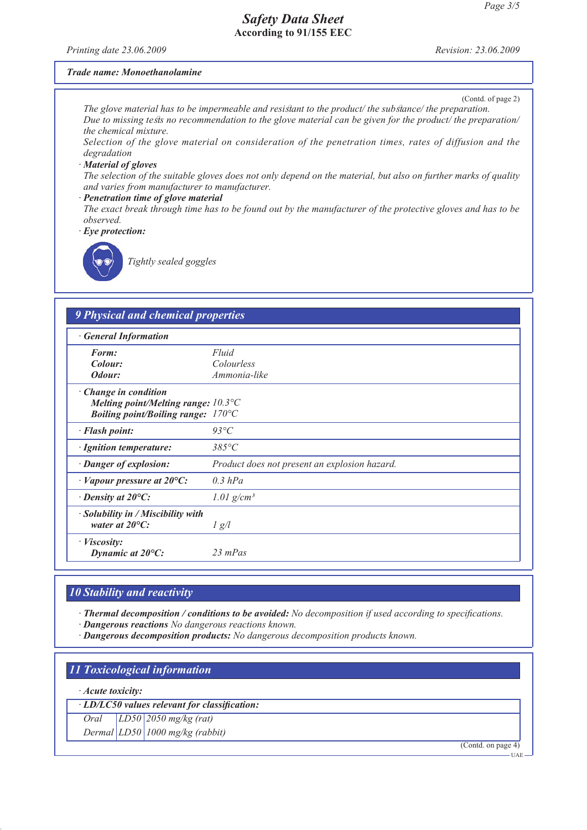*Printing date 23.06.2009 Revision: 23.06.2009*

(Contd. of page 2)

#### *Trade name: Monoethanolamine*

*The glove material has to be impermeable and resistant to the product/ the substance/ the preparation. Due to missing tests no recommendation to the glove material can be given for the product/ the preparation/ the chemical mixture.*

*Selection of the glove material on consideration of the penetration times, rates of diffusion and the degradation*

#### *· Material of gloves*

*The selection of the suitable gloves does not only depend on the material, but also on further marks of quality and varies from manufacturer to manufacturer.*

#### *· Penetration time of glove material*

*The exact break through time has to be found out by the manufacturer of the protective gloves and has to be observed.*

*· Eye protection:*



*Tightly sealed goggles*

# *9 Physical and chemical properties · General Information Form: Fluid*

| Colour:<br>Odour:                                                                                                                   | <i>Colourless</i><br>Ammonia-like             |
|-------------------------------------------------------------------------------------------------------------------------------------|-----------------------------------------------|
| $\cdot$ Change in condition<br>Melting point/Melting range: $10.3^{\circ}$ C<br><i>Boiling point/Boiling range:</i> $170^{\circ}$ C |                                               |
| · Flash point:                                                                                                                      | $93^{\circ}C$                                 |
| · Ignition temperature:                                                                                                             | $385^{\circ}C$                                |
| · Danger of explosion:                                                                                                              | Product does not present an explosion hazard. |
| $\cdot$ Vapour pressure at 20 $\circ$ C:                                                                                            | $0.3$ hPa                                     |
| $\cdot$ Density at 20 $\circ$ C:                                                                                                    | 1.01 $g/cm^3$                                 |
| · Solubility in / Miscibility with<br>water at $20^{\circ}$ C:                                                                      | $\frac{1}{g}$                                 |
| $\cdot$ <i>Viscosity:</i><br>Dynamic at $20^{\circ}$ C:                                                                             | $23$ mPas                                     |

## *10 Stability and reactivity*

*· Thermal decomposition / conditions to be avoided: No decomposition if used according to specifications.*

*· Dangerous reactions No dangerous reactions known.*

*· Dangerous decomposition products: No dangerous decomposition products known.*

## *11 Toxicological information*

#### *· Acute toxicity:*

*· LD/LC50 values relevant for classification:*

*Oral LD50 2050 mg/kg (rat)*

*Dermal LD50 1000 mg/kg (rabbit)*

(Contd. on page 4)

UAE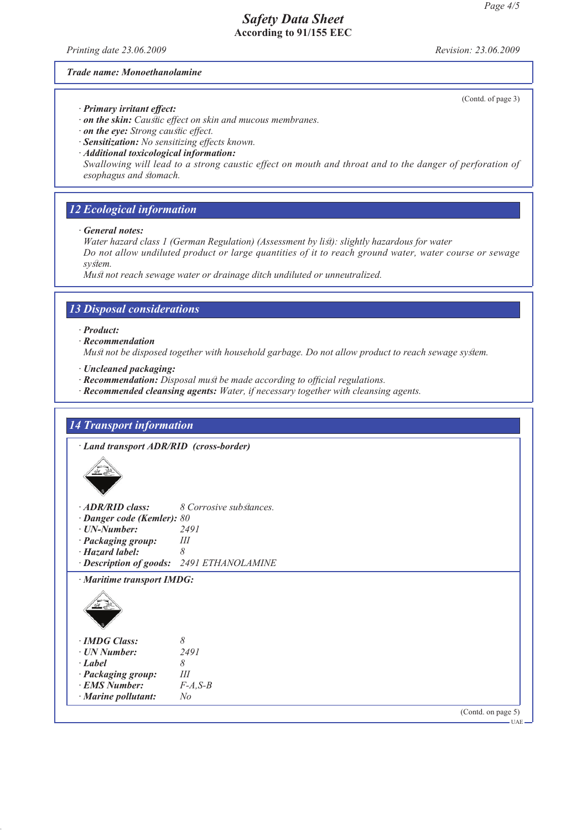*Printing date 23.06.2009 Revision: 23.06.2009*

(Contd. of page 3)

#### *Trade name: Monoethanolamine*

- *· Primary irritant effect:*
- *· on the skin: Caustic effect on skin and mucous membranes.*
- *· on the eye: Strong caustic effect.*
- *· Sensitization: No sensitizing effects known.*
- *· Additional toxicological information:*

*Swallowing will lead to a strong caustic effect on mouth and throat and to the danger of perforation of esophagus and stomach.*

## *12 Ecological information*

*· General notes:*

*Water hazard class 1 (German Regulation) (Assessment by list): slightly hazardous for water Do not allow undiluted product or large quantities of it to reach ground water, water course or sewage system.*

*Must not reach sewage water or drainage ditch undiluted or unneutralized.*

## *13 Disposal considerations*

- *· Product:*
- *· Recommendation*

*Must not be disposed together with household garbage. Do not allow product to reach sewage system.*

- *· Uncleaned packaging:*
- *· Recommendation: Disposal must be made according to official regulations.*
- *· Recommended cleansing agents: Water, if necessary together with cleansing agents.*

## *14 Transport information*

*· Land transport ADR/RID (cross-border)*



| $\cdot$ ADR/RID class:<br>$\cdot$ Danger code (Kemler): 80<br>· UN-Number:<br>· Packaging group: | 8 Corrosive substances.<br>2491<br>Ш      |
|--------------------------------------------------------------------------------------------------|-------------------------------------------|
| · Hazard label:                                                                                  | 8                                         |
|                                                                                                  | · Description of goods: 2491 ETHANOLAMINE |
| · Maritime transport IMDG:                                                                       |                                           |
| · IMDG Class:                                                                                    | 8                                         |
| ⋅ UN Number:                                                                                     | 2491                                      |
| · Label                                                                                          | 8                                         |
| · Packaging group:                                                                               | Ш                                         |
| <b>*******</b>                                                                                   | $\sim$ $\sim$ $\sim$                      |

- *· EMS Number: F-A,S-B*
- *· Marine pollutant: No*

(Contd. on page 5)

UAE